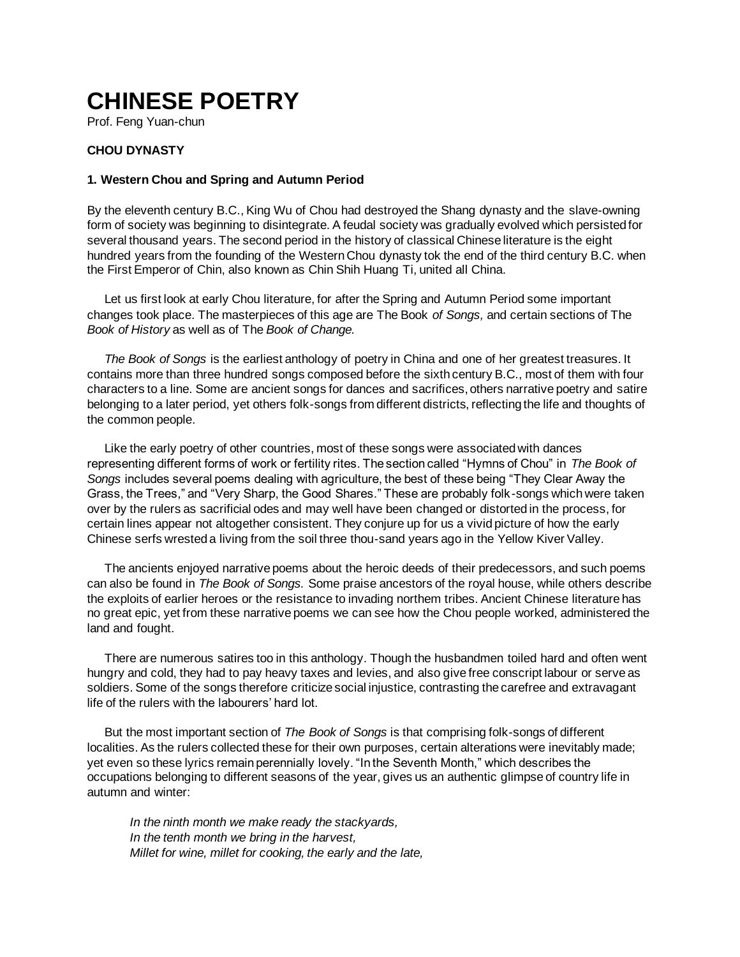# **CHINESE POETRY**

Prof. Feng Yuan-chun

# **CHOU DYNASTY**

## **1. Western Chou and Spring and Autumn Period**

By the eleventh century B.C., King Wu of Chou had destroyed the Shang dynasty and the slave-owning form of society was beginning to disintegrate. A feudal society was gradually evolved which persisted for several thousand years. The second period in the history of classical Chinese literature is the eight hundred years from the founding of the Western Chou dynasty tok the end of the third century B.C. when the First Emperor of Chin, also known as Chin Shih Huang Ti, united all China.

Let us first look at early Chou literature, for after the Spring and Autumn Period some important changes took place. The masterpieces of this age are The Book *of Songs,* and certain sections of The *Book of History* as well as of The *Book of Change.*

*The Book of Songs* is the earliest anthology of poetry in China and one of her greatest treasures. It contains more than three hundred songs composed before the sixth century B.C., most of them with four characters to a line. Some are ancient songs for dances and sacrifices, others narrative poetry and satire belonging to a later period, yet others folk-songs from different districts, reflecting the life and thoughts of the common people.

Like the early poetry of other countries, most of these songs were associated with dances representing different forms of work or fertility rites. The section called "Hymns of Chou" in *The Book of Songs* includes several poems dealing with agriculture, the best of these being "They Clear Away the Grass, the Trees," and "Very Sharp, the Good Shares." These are probably folk-songs which were taken over by the rulers as sacrificial odes and may well have been changed or distorted in the process, for certain lines appear not altogether consistent. They conjure up for us a vivid picture of how the early Chinese serfs wrested a living from the soil three thou-sand years ago in the Yellow Kiver Valley.

The ancients enjoyed narrative poems about the heroic deeds of their predecessors, and such poems can also be found in *The Book of Songs.* Some praise ancestors of the royal house, while others describe the exploits of earlier heroes or the resistance to invading northem tribes. Ancient Chinese literature has no great epic, yet from these narrative poems we can see how the Chou people worked, administered the land and fought.

There are numerous satires too in this anthology. Though the husbandmen toiled hard and often went hungry and cold, they had to pay heavy taxes and levies, and also give free conscript labour or serve as soldiers. Some of the songs therefore criticize social injustice, contrasting the carefree and extravagant life of the rulers with the labourers' hard lot.

But the most important section of *The Book of Songs* is that comprising folk-songs of different localities. As the rulers collected these for their own purposes, certain alterations were inevitably made; yet even so these lyrics remain perennially lovely. "In the Seventh Month," which describes the occupations belonging to different seasons of the year, gives us an authentic glimpse of country life in autumn and winter:

*In the ninth month we make ready the stackyards, In the tenth month we bring in the harvest, Millet for wine, millet for cooking, the early and the late,*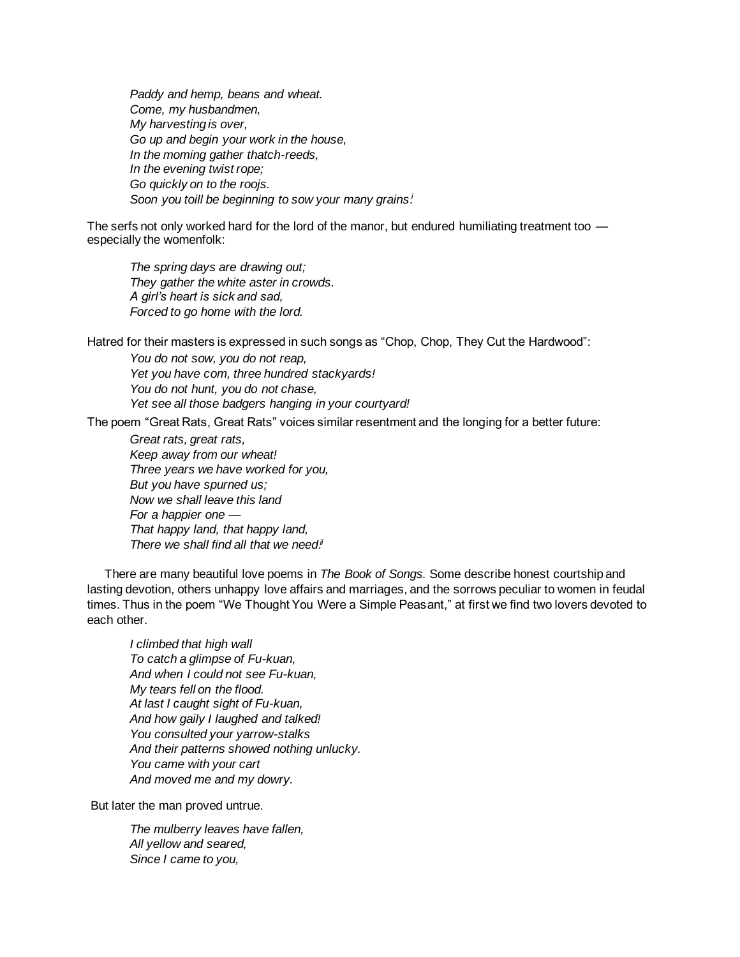*Paddy and hemp, beans and wheat. Come, my husbandmen, My harvesting is over, Go up and begin your work in the house, In the moming gather thatch-reeds, In the evening twist rope; Go quickly on to the roojs. Soon you toill be beginning to sow your many grains. i*

The serfs not only worked hard for the lord of the manor, but endured humiliating treatment too especially the womenfolk:

*The spring days are drawing out; They gather the white aster in crowds. A girl's heart is sick and sad, Forced to go home with the lord.*

Hatred for their masters is expressed in such songs as "Chop, Chop, They Cut the Hardwood":

*You do not sow, you do not reap, Yet you have com, three hundred stackyards! You do not hunt, you do not chase, Yet see all those badgers hanging in your courtyard!*

The poem "Great Rats, Great Rats" voices similar resentment and the longing for a better future:

*Great rats, great rats, Keep away from our wheat! Three years we have worked for you, But you have spurned us; Now we shall leave this land For a happier one — That happy land, that happy land,* There we shall find all that we need.<sup>ii</sup>

There are many beautiful love poems in *The Book of Songs.* Some describe honest courtship and lasting devotion, others unhappy love affairs and marriages, and the sorrows peculiar to women in feudal times. Thus in the poem "We Thought You Were a Simple Peasant," at first we find two lovers devoted to each other.

*I climbed that high wall To catch a glimpse of Fu-kuan, And when I could not see Fu-kuan, My tears fell on the flood. At last I caught sight of Fu-kuan, And how gaily I laughed and talked! You consulted your yarrow-stalks And their patterns showed nothing unlucky. You came with your cart And moved me and my dowry.*

But later the man proved untrue.

*The mulberry leaves have fallen, All yellow and seared, Since I came to you,*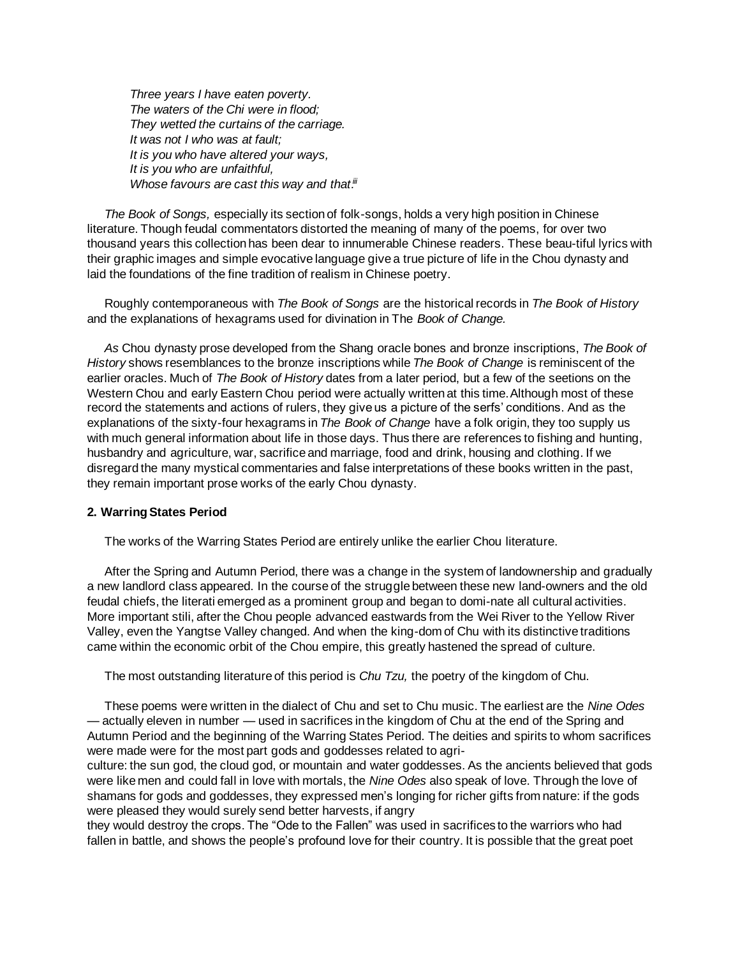*Three years I have eaten poverty. The waters of the Chi were in flood; They wetted the curtains of the carriage. It was not I who was at fault; It is you who have altered your ways, It is you who are unfaithful,* **Whose favours are cast this way and that.<sup>ii</sup>** 

*The Book of Songs,* especially its section of folk-songs, holds a very high position in Chinese literature. Though feudal commentators distorted the meaning of many of the poems, for over two thousand years this collection has been dear to innumerable Chinese readers. These beau-tiful lyrics with their graphic images and simple evocative language give a true picture of life in the Chou dynasty and laid the foundations of the fine tradition of realism in Chinese poetry.

Roughly contemporaneous with *The Book of Songs* are the historical records in *The Book of History* and the explanations of hexagrams used for divination in The *Book of Change.*

*As* Chou dynasty prose developed from the Shang oracle bones and bronze inscriptions, *The Book of History* shows resemblances to the bronze inscriptions while *The Book of Change* is reminiscent of the earlier oracles. Much of *The Book of History* dates from a later period, but a few of the seetions on the Western Chou and early Eastern Chou period were actually written at this time.Although most of these record the statements and actions of rulers, they give us a picture of the serfs' conditions. And as the explanations of the sixty-four hexagrams in *The Book of Change* have a folk origin, they too supply us with much general information about life in those days. Thus there are references to fishing and hunting, husbandry and agriculture, war, sacrifice and marriage, food and drink, housing and clothing. If we disregard the many mystical commentaries and false interpretations of these books written in the past, they remain important prose works of the early Chou dynasty.

### **2. Warring States Period**

The works of the Warring States Period are entirely unlike the earlier Chou literature.

After the Spring and Autumn Period, there was a change in the system of landownership and gradually a new landlord class appeared. In the course of the struggle between these new land-owners and the old feudal chiefs, the literati emerged as a prominent group and began to domi-nate all cultural activities. More important stili, after the Chou people advanced eastwards from the Wei River to the Yellow River Valley, even the Yangtse Valley changed. And when the king-dom of Chu with its distinctive traditions came within the economic orbit of the Chou empire, this greatly hastened the spread of culture.

The most outstanding literature of this period is *Chu Tzu,* the poetry of the kingdom of Chu.

These poems were written in the dialect of Chu and set to Chu music. The earliest are the *Nine Odes* — actually eleven in number — used in sacrifices in the kingdom of Chu at the end of the Spring and Autumn Period and the beginning of the Warring States Period. The deities and spirits to whom sacrifices were made were for the most part gods and goddesses related to agri-

culture: the sun god, the cloud god, or mountain and water goddesses. As the ancients believed that gods were like men and could fall in love with mortals, the *Nine Odes* also speak of love. Through the love of shamans for gods and goddesses, they expressed men's longing for richer gifts from nature: if the gods were pleased they would surely send better harvests, if angry

they would destroy the crops. The "Ode to the Fallen" was used in sacrifices to the warriors who had fallen in battle, and shows the people's profound love for their country. It is possible that the great poet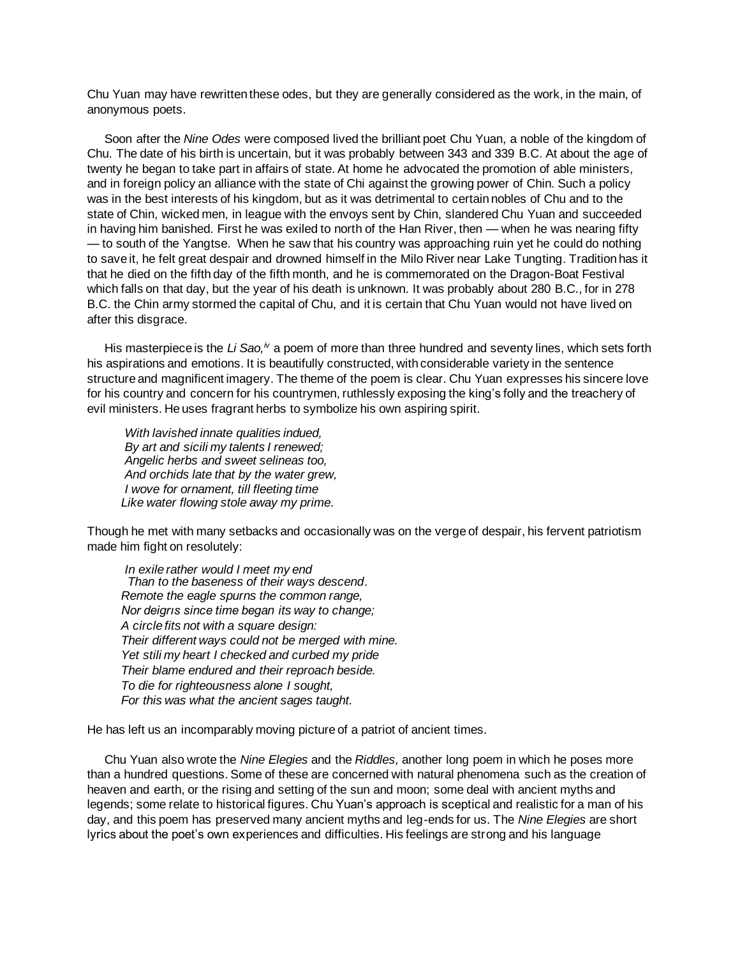Chu Yuan may have rewritten these odes, but they are generally considered as the work, in the main, of anonymous poets.

Soon after the *Nine Odes* were composed lived the brilliant poet Chu Yuan, a noble of the kingdom of Chu. The date of his birth is uncertain, but it was probably between 343 and 339 B.C. At about the age of twenty he began to take part in affairs of state. At home he advocated the promotion of able ministers, and in foreign policy an alliance with the state of Chi against the growing power of Chin. Such a policy was in the best interests of his kingdom, but as it was detrimental to certain nobles of Chu and to the state of Chin, wicked men, in league with the envoys sent by Chin, slandered Chu Yuan and succeeded in having him banished. First he was exiled to north of the Han River, then — when he was nearing fifty — to south of the Yangtse. When he saw that his country was approaching ruin yet he could do nothing to save it, he felt great despair and drowned himself in the Milo River near Lake Tungting. Tradition has it that he died on the fifth day of the fifth month, and he is commemorated on the Dragon-Boat Festival which falls on that day, but the year of his death is unknown. It was probably about 280 B.C., for in 278 B.C. the Chin army stormed the capital of Chu, and it is certain that Chu Yuan would not have lived on after this disgrace.

His masterpiece is the Li Sao,<sup>iv</sup> a poem of more than three hundred and seventy lines, which sets forth his aspirations and emotions. It is beautifully constructed, with considerable variety in the sentence structure and magnificent imagery. The theme of the poem is clear. Chu Yuan expresses his sincere love for his country and concern for his countrymen, ruthlessly exposing the king's folly and the treachery of evil ministers. He uses fragrant herbs to symbolize his own aspiring spirit.

*With lavished innate qualities indued, By art and sicili my talents I renewed; Angelic herbs and sweet selineas too, And orchids late that by the water grew, I wove for ornament, till fleeting time Like water flowing stole away my prime.*

Though he met with many setbacks and occasionally was on the verge of despair, his fervent patriotism made him fight on resolutely:

*In exile rather would I meet my end Than to the baseness of their ways descend*. *Remote the eagle spurns the common range, Nor deigrıs since time began its way to change; A circle fits not with a square design: Their different ways could not be merged with mine. Yet stili my heart I checked and curbed my pride Their blame endured and their reproach beside. To die for righteousness alone I sought, For this was what the ancient sages taught.*

He has left us an incomparably moving picture of a patriot of ancient times.

Chu Yuan also wrote the *Nine Elegies* and the *Riddles,* another long poem in which he poses more than a hundred questions. Some of these are concerned with natural phenomena such as the creation of heaven and earth, or the rising and setting of the sun and moon; some deal with ancient myths and legends; some relate to historical figures. Chu Yuan's approach is sceptical and realistic for a man of his day, and this poem has preserved many ancient myths and leg-ends for us. The *Nine Elegies* are short lyrics about the poet's own experiences and difficulties. His feelings are strong and his language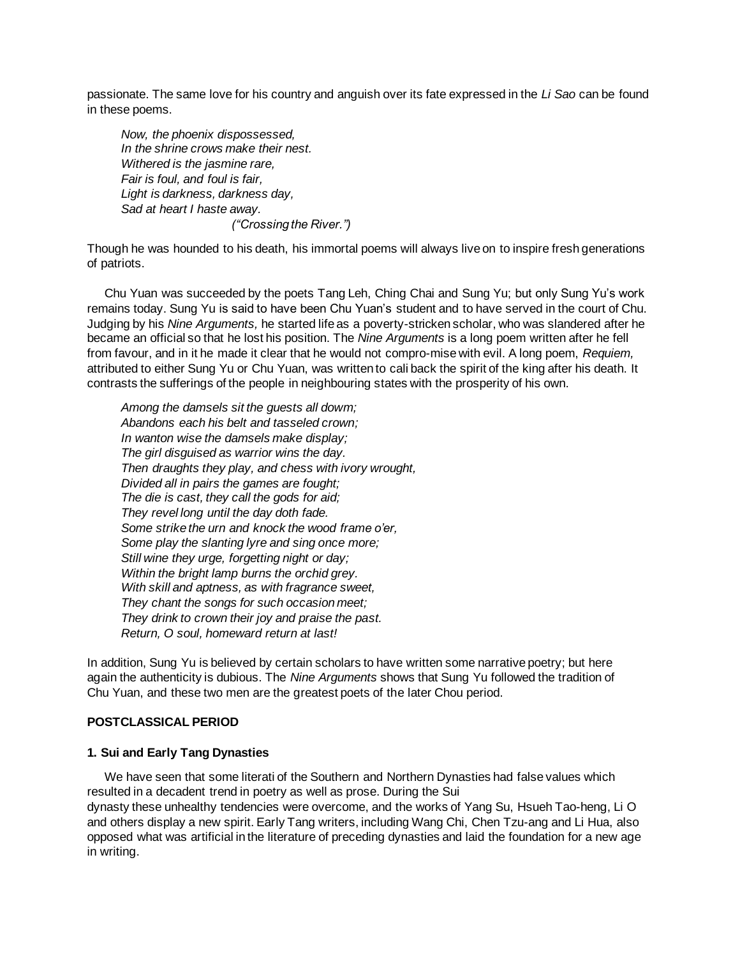passionate. The same love for his country and anguish over its fate expressed in the *Li Sao* can be found in these poems.

*Now, the phoenix dispossessed, In the shrine crows make their nest. Withered is the jasmine rare, Fair is foul, and foul is fair, Light is darkness, darkness day, Sad at heart I haste away. ("Crossing the River.")*

Though he was hounded to his death, his immortal poems will always live on to inspire fresh generations of patriots.

Chu Yuan was succeeded by the poets Tang Leh, Ching Chai and Sung Yu; but only Sung Yu's work remains today. Sung Yu is said to have been Chu Yuan's student and to have served in the court of Chu. Judging by his *Nine Arguments,* he started life as a poverty-stricken scholar, who was slandered after he became an official so that he lost his position. The *Nine Arguments* is a long poem written after he fell from favour, and in it he made it clear that he would not compro-mise with evil. A long poem, *Requiem,* attributed to either Sung Yu or Chu Yuan, was written to cali back the spirit of the king after his death. It contrasts the sufferings of the people in neighbouring states with the prosperity of his own.

*Among the damsels sit the guests all dowm; Abandons each his belt and tasseled crown; In wanton wise the damsels make display; The girl disguised as warrior wins the day. Then draughts they play, and chess with ivory wrought, Divided all in pairs the games are fought; The die is cast, they call the gods for aid; They revel long until the day doth fade. Some strike the urn and knock the wood frame o'er, Some play the slanting lyre and sing once more; Still wine they urge, forgetting night or day; Within the bright lamp burns the orchid grey. With skill and aptness, as with fragrance sweet, They chant the songs for such occasion meet; They drink to crown their joy and praise the past. Return, O soul, homeward return at last!*

In addition, Sung Yu is believed by certain scholars to have written some narrative poetry; but here again the authenticity is dubious. The *Nine Arguments* shows that Sung Yu followed the tradition of Chu Yuan, and these two men are the greatest poets of the later Chou period.

## **POSTCLASSICAL PERIOD**

### **1. Sui and Early Tang Dynasties**

We have seen that some literati of the Southern and Northern Dynasties had false values which resulted in a decadent trend in poetry as well as prose. During the Sui dynasty these unhealthy tendencies were overcome, and the works of Yang Su, Hsueh Tao-heng, Li O and others display a new spirit. Early Tang writers, including Wang Chi, Chen Tzu-ang and Li Hua, also opposed what was artificial in the literature of preceding dynasties and laid the foundation for a new age in writing.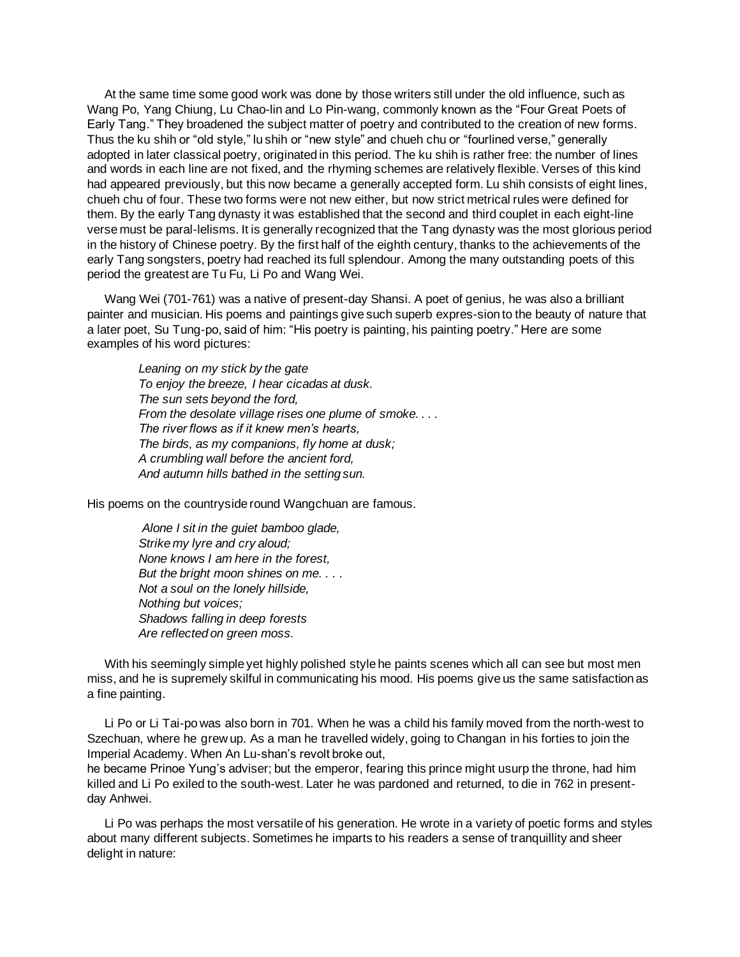At the same time some good work was done by those writers still under the old influence, such as Wang Po, Yang Chiung, Lu Chao-lin and Lo Pin-wang, commonly known as the "Four Great Poets of Early Tang." They broadened the subject matter of poetry and contributed to the creation of new forms. Thus the ku shih or "old style," lu shih or "new style" and chueh chu or "fourlined verse," generally adopted in later classical poetry, originated in this period. The ku shih is rather free: the number of lines and words in each line are not fixed, and the rhyming schemes are relatively flexible. Verses of this kind had appeared previously, but this now became a generally accepted form. Lu shih consists of eight lines, chueh chu of four. These two forms were not new either, but now strict metrical rules were defined for them. By the early Tang dynasty it was established that the second and third couplet in each eight-line verse must be paral-lelisms. It is generally recognized that the Tang dynasty was the most glorious period in the history of Chinese poetry. By the first half of the eighth century, thanks to the achievements of the early Tang songsters, poetry had reached its full splendour. Among the many outstanding poets of this period the greatest are Tu Fu, Li Po and Wang Wei.

Wang Wei (701-761) was a native of present-day Shansi. A poet of genius, he was also a brilliant painter and musician. His poems and paintings give such superb expres-sion to the beauty of nature that a later poet, Su Tung-po, said of him: "His poetry is painting, his painting poetry." Here are some examples of his word pictures:

*Leaning on my stick by the gate To enjoy the breeze, I hear cicadas at dusk. The sun sets beyond the ford, From the desolate village rises one plume of smoke. . . . The river flows as if it knew men's hearts, The birds, as my companions, fly home at dusk; A crumbling wall before the ancient ford, And autumn hills bathed in the setting sun.*

His poems on the countryside round Wangchuan are famous.

*Alone I sit in the guiet bamboo glade, Strike my lyre and cry aloud; None knows I am here in the forest, But the bright moon shines on me. . . . Not a soul on the lonely hillside, Nothing but voices; Shadows falling in deep forests Are reflected on green moss.*

With his seemingly simple yet highly polished style he paints scenes which all can see but most men miss, and he is supremely skilful in communicating his mood. His poems give us the same satisfaction as a fine painting.

Li Po or Li Tai-po was also born in 701. When he was a child his family moved from the north-west to Szechuan, where he grew up. As a man he travelled widely, going to Changan in his forties to join the Imperial Academy. When An Lu-shan's revolt broke out,

he became Prinoe Yung's adviser; but the emperor, fearing this prince might usurp the throne, had him killed and Li Po exiled to the south-west. Later he was pardoned and returned, to die in 762 in presentday Anhwei.

Li Po was perhaps the most versatile of his generation. He wrote in a variety of poetic forms and styles about many different subjects. Sometimes he imparts to his readers a sense of tranquillity and sheer delight in nature: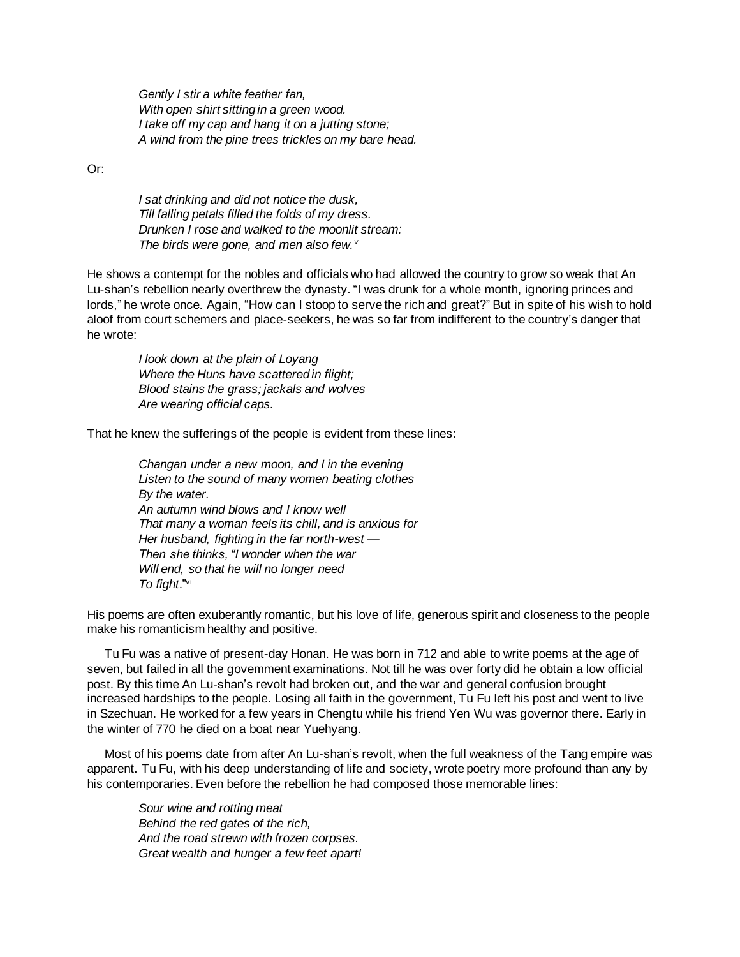*Gently I stir a white feather fan, With open shirt sitting in a green wood. I take off my cap and hang it on a jutting stone; A wind from the pine trees trickles on my bare head.*

Or:

*I sat drinking and did not notice the dusk, Till falling petals filled the folds of my dress. Drunken I rose and walked to the moonlit stream: The birds were gone, and men also few.<sup>v</sup>*

He shows a contempt for the nobles and officials who had allowed the country to grow so weak that An Lu-shan's rebellion nearly overthrew the dynasty. "I was drunk for a whole month, ignoring princes and lords," he wrote once. Again, "How can I stoop to serve the rich and great?" But in spite of his wish to hold aloof from court schemers and place-seekers, he was so far from indifferent to the country's danger that he wrote:

*I look down at the plain of Loyang Where the Huns have scattered in flight; Blood stains the grass; jackals and wolves Are wearing official caps.*

That he knew the sufferings of the people is evident from these lines:

*Changan under a new moon, and I in the evening Listen to the sound of many women beating clothes By the water. An autumn wind blows and I know well That many a woman feels its chill, and is anxious for Her husband, fighting in the far north-west* — *Then she thinks, "I wonder when the war Will end, so that he will no longer need To fight*." vi

His poems are often exuberantly romantic, but his love of life, generous spirit and closeness to the people make his romanticism healthy and positive.

Tu Fu was a native of present-day Honan. He was born in 712 and able to write poems at the age of seven, but failed in all the govemment examinations. Not till he was over forty did he obtain a low official post. By this time An Lu-shan's revolt had broken out, and the war and general confusion brought increased hardships to the people. Losing all faith in the government, Tu Fu left his post and went to live in Szechuan. He worked for a few years in Chengtu while his friend Yen Wu was governor there. Early in the winter of 770 he died on a boat near Yuehyang.

Most of his poems date from after An Lu-shan's revolt, when the full weakness of the Tang empire was apparent. Tu Fu, with his deep understanding of life and society, wrote poetry more profound than any by his contemporaries. Even before the rebellion he had composed those memorable lines:

*Sour wine and rotting meat Behind the red gates of the rich, And the road strewn with frozen corpses. Great wealth and hunger a few feet apart!*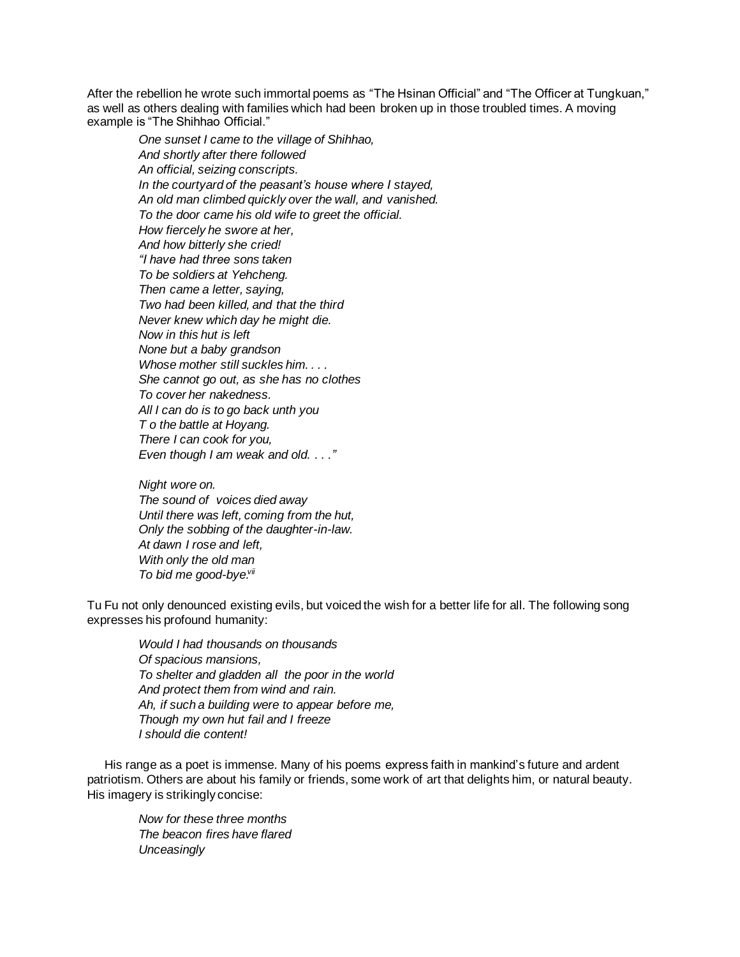After the rebellion he wrote such immortal poems as "The Hsinan Official" and "The Officer at Tungkuan," as well as others dealing with families which had been broken up in those troubled times. A moving example is "The Shihhao Official."

*One sunset I came to the village of Shihhao, And shortly after there followed An official, seizing conscripts. In the courtyard of the peasant's house where I stayed, An old man climbed quickly over the wall, and vanished. To the door came his old wife to greet the official. How fiercely he swore at her, And how bitterly she cried! "I have had three sons taken To be soldiers at Yehcheng. Then came a letter, saying, Two had been killed, and that the third Never knew which day he might die. Now in this hut is left None but a baby grandson Whose mother still suckles him. . . . She cannot go out, as she has no clothes To cover her nakedness. All I can do is to go back unth you T o the battle at Hoyang. There I can cook for you, Even though I am weak and old. . . ."*

*Night wore on. The sound of voices died away Until there was left, coming from the hut, Only the sobbing of the daughter-in-law. At dawn I rose and left, With only the old man* To bid me good-bye.<sup>vii</sup>

Tu Fu not only denounced existing evils, but voiced the wish for a better life for all. The following song expresses his profound humanity:

*Would I had thousands on thousands Of spacious mansions, To shelter and gladden all the poor in the world And protect them from wind and rain. Ah, if such a building were to appear before me, Though my own hut fail and I freeze I should die content!*

His range as a poet is immense. Many of his poems express faith in mankind's future and ardent patriotism. Others are about his family or friends, some work of art that delights him, or natural beauty. His imagery is strikingly concise:

*Now for these three months The beacon fires have flared Unceasingly*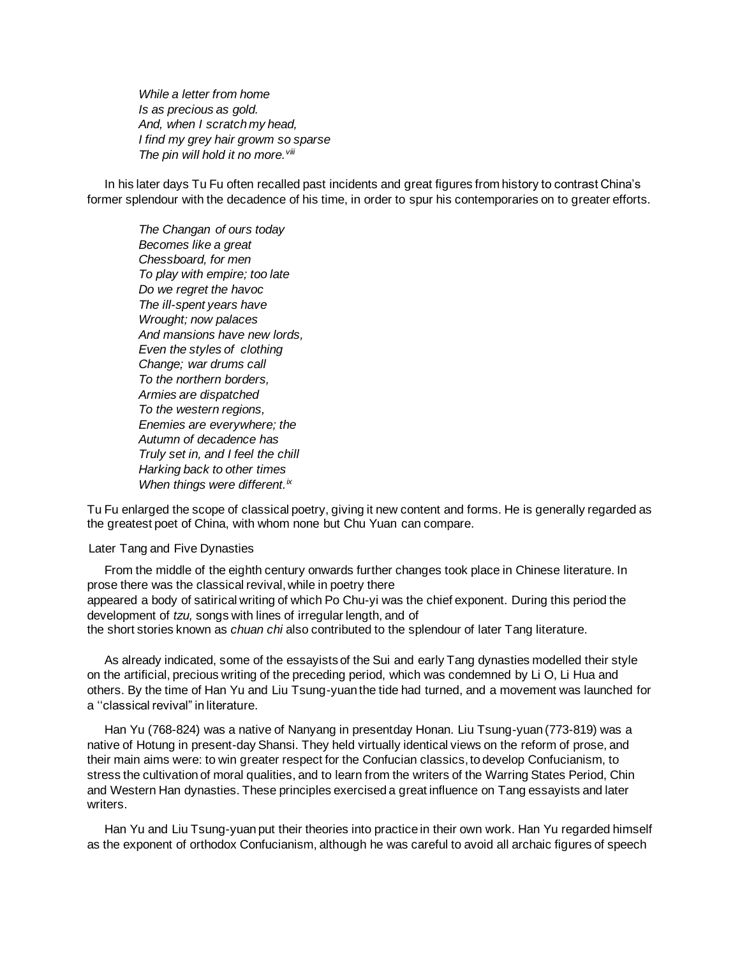*While a letter from home Is as precious as gold. And, when I scratch my head, I find my grey hair growm so sparse The pin will hold it no more.viii*

In his later days Tu Fu often recalled past incidents and great figures from history to contrast China's former splendour with the decadence of his time, in order to spur his contemporaries on to greater efforts.

*The Changan of ours today Becomes like a great Chessboard, for men To play with empire; too late Do we regret the havoc The ill-spent years have Wrought; now palaces And mansions have new lords, Even the styles of clothing Change; war drums call To the northern borders, Armies are dispatched To the western regions, Enemies are everywhere; the Autumn of decadence has Truly set in, and I feel the chill Harking back to other times When things were different.ix*

Tu Fu enlarged the scope of classical poetry, giving it new content and forms. He is generally regarded as the greatest poet of China, with whom none but Chu Yuan can compare.

Later Tang and Five Dynasties

From the middle of the eighth century onwards further changes took place in Chinese literature. In prose there was the classical revival, while in poetry there appeared a body of satirical writing of which Po Chu-yi was the chief exponent. During this period the development of *tzu,* songs with lines of irregular length, and of

the short stories known as *chuan chi* also contributed to the splendour of later Tang literature.

As already indicated, some of the essayists of the Sui and early Tang dynasties modelled their style on the artificial, precious writing of the preceding period, which was condemned by Li O, Li Hua and others. By the time of Han Yu and Liu Tsung-yuan the tide had turned, and a movement was launched for a ''classical revival" in literature.

Han Yu (768-824) was a native of Nanyang in presentday Honan. Liu Tsung-yuan (773-819) was a native of Hotung in present-day Shansi. They held virtually identical views on the reform of prose, and their main aims were: to win greater respect for the Confucian classics, to develop Confucianism, to stress the cultivation of moral qualities, and to learn from the writers of the Warring States Period, Chin and Western Han dynasties. These principles exercised a great influence on Tang essayists and later writers.

Han Yu and Liu Tsung-yuan put their theories into practice in their own work. Han Yu regarded himself as the exponent of orthodox Confucianism, although he was careful to avoid all archaic figures of speech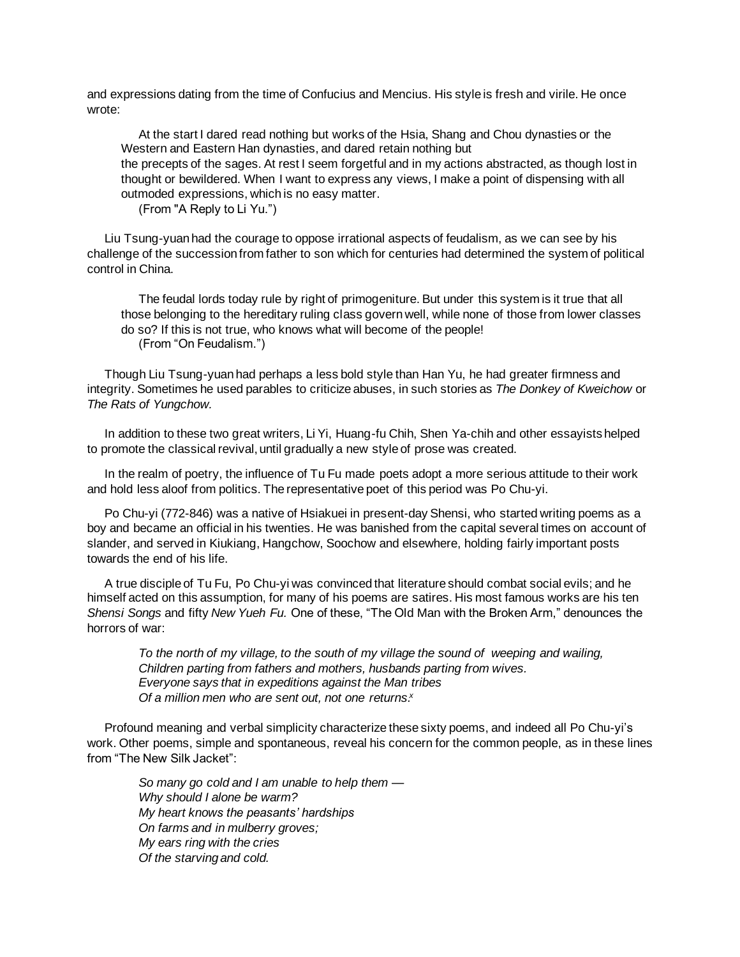and expressions dating from the time of Confucius and Mencius. His style is fresh and virile. He once wrote:

At the start I dared read nothing but works of the Hsia, Shang and Chou dynasties or the Western and Eastern Han dynasties, and dared retain nothing but the precepts of the sages. At rest I seem forgetful and in my actions abstracted, as though lost in thought or bewildered. When I want to express any views, I make a point of dispensing with all outmoded expressions, which is no easy matter.

(From "A Reply to Li Yu.")

Liu Tsung-yuan had the courage to oppose irrational aspects of feudalism, as we can see by his challenge of the succession from father to son which for centuries had determined the system of political control in China.

The feudal lords today rule by right of primogeniture. But under this system is it true that all those belonging to the hereditary ruling class govern well, while none of those from lower classes do so? If this is not true, who knows what will become of the people! (From "On Feudalism.")

Though Liu Tsung-yuan had perhaps a less bold style than Han Yu, he had greater firmness and integrity. Sometimes he used parables to criticize abuses, in such stories as *The Donkey of Kweichow* or *The Rats of Yungchow.*

In addition to these two great writers, Li Yi, Huang-fu Chih, Shen Ya-chih and other essayists helped to promote the classical revival, until gradually a new style of prose was created.

In the realm of poetry, the influence of Tu Fu made poets adopt a more serious attitude to their work and hold less aloof from politics. The representative poet of this period was Po Chu-yi.

Po Chu-yi (772-846) was a native of Hsiakuei in present-day Shensi, who started writing poems as a boy and became an official in his twenties. He was banished from the capital several times on account of slander, and served in Kiukiang, Hangchow, Soochow and elsewhere, holding fairly important posts towards the end of his life.

A true disciple of Tu Fu, Po Chu-yi was convinced that literature should combat social evils; and he himself acted on this assumption, for many of his poems are satires. His most famous works are his ten *Shensi Songs* and fifty *New Yueh Fu.* One of these, "The Old Man with the Broken Arm," denounces the horrors of war:

*To the north of my village, to the south of my village the sound of weeping and wailing, Children parting from fathers and mothers, husbands parting from wives. Everyone says that in expeditions against the Man tribes Of a million men who are sent out, not one returns. x*

Profound meaning and verbal simplicity characterize these sixty poems, and indeed all Po Chu-yi's work. Other poems, simple and spontaneous, reveal his concern for the common people, as in these lines from "The New Silk Jacket":

*So many go cold and I am unable to help them — Why should I alone be warm? My heart knows the peasants' hardships On farms and in mulberry groves; My ears ring with the cries Of the starving and cold.*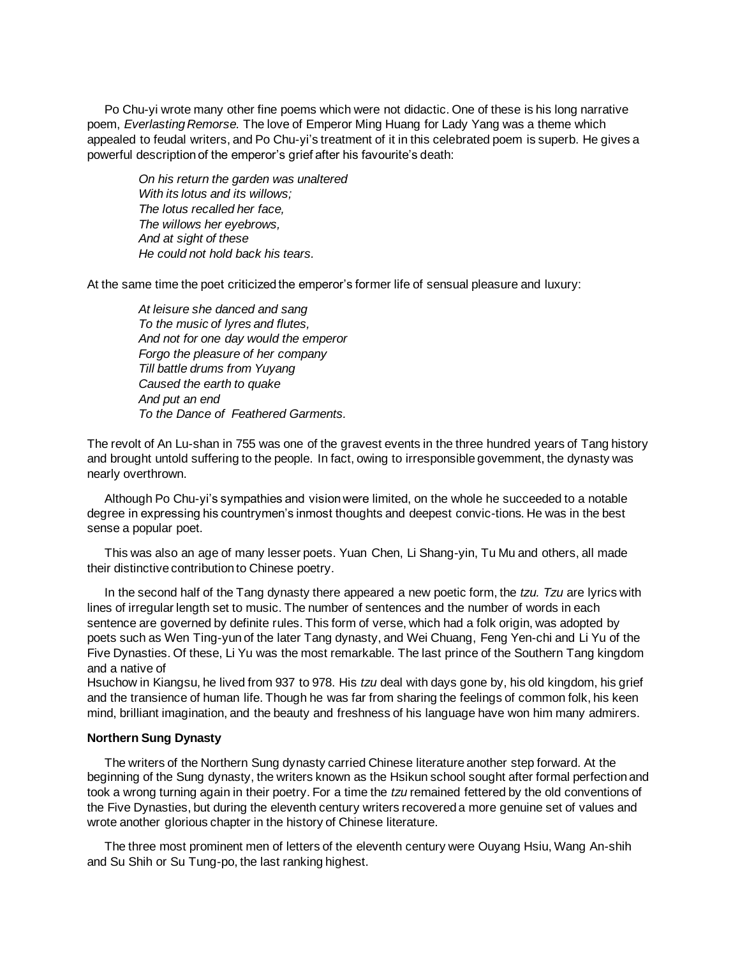Po Chu-yi wrote many other fine poems which were not didactic. One of these is his long narrative poem, *Everlasting Remorse.* The love of Emperor Ming Huang for Lady Yang was a theme which appealed to feudal writers, and Po Chu-yi's treatment of it in this celebrated poem is superb. He gives a powerful description of the emperor's grief after his favourite's death:

*On his return the garden was unaltered With its lotus and its willows; The lotus recalled her face, The willows her eyebrows, And at sight of these He could not hold back his tears.*

At the same time the poet criticized the emperor's former life of sensual pleasure and luxury:

*At leisure she danced and sang To the music of lyres and flutes, And not for one day would the emperor Forgo the pleasure of her company Till battle drums from Yuyang Caused the earth to quake And put an end To the Dance of Feathered Garments.*

The revolt of An Lu-shan in 755 was one of the gravest events in the three hundred years of Tang history and brought untold suffering to the people. In fact, owing to irresponsible govemment, the dynasty was nearly overthrown.

Although Po Chu-yi's sympathies and vision were limited, on the whole he succeeded to a notable degree in expressing his countrymen's inmost thoughts and deepest convic-tions. He was in the best sense a popular poet.

This was also an age of many lesser poets. Yuan Chen, Li Shang-yin, Tu Mu and others, all made their distinctive contribution to Chinese poetry.

In the second half of the Tang dynasty there appeared a new poetic form, the *tzu. Tzu* are lyrics with lines of irregular length set to music. The number of sentences and the number of words in each sentence are governed by definite rules. This form of verse, which had a folk origin, was adopted by poets such as Wen Ting-yun of the later Tang dynasty, and Wei Chuang, Feng Yen-chi and Li Yu of the Five Dynasties. Of these, Li Yu was the most remarkable. The last prince of the Southern Tang kingdom and a native of

Hsuchow in Kiangsu, he lived from 937 to 978. His *tzu* deal with days gone by, his old kingdom, his grief and the transience of human life. Though he was far from sharing the feelings of common folk, his keen mind, brilliant imagination, and the beauty and freshness of his language have won him many admirers.

#### **Northern Sung Dynasty**

The writers of the Northern Sung dynasty carried Chinese literature another step forward. At the beginning of the Sung dynasty, the writers known as the Hsikun school sought after formal perfection and took a wrong turning again in their poetry. For a time the *tzu* remained fettered by the old conventions of the Five Dynasties, but during the eleventh century writers recovered a more genuine set of values and wrote another glorious chapter in the history of Chinese literature.

The three most prominent men of letters of the eleventh century were Ouyang Hsiu, Wang An-shih and Su Shih or Su Tung-po, the last ranking highest.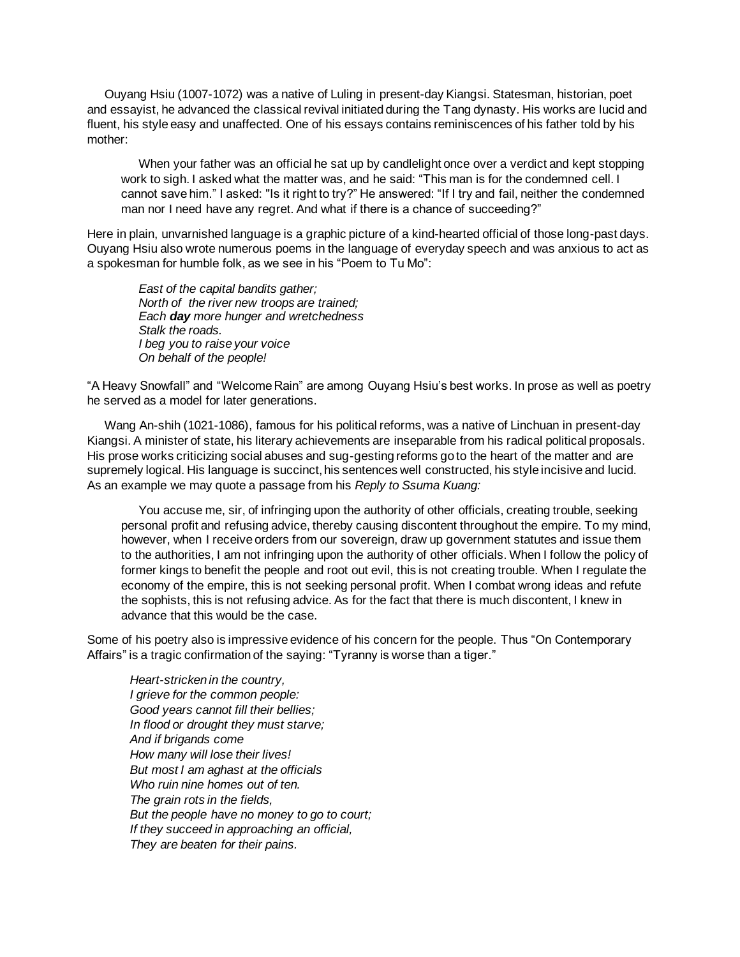Ouyang Hsiu (1007-1072) was a native of Luling in present-day Kiangsi. Statesman, historian, poet and essayist, he advanced the classical revival initiated during the Tang dynasty. His works are lucid and fluent, his style easy and unaffected. One of his essays contains reminiscences of his father told by his mother:

When your father was an official he sat up by candlelight once over a verdict and kept stopping work to sigh. I asked what the matter was, and he said: "This man is for the condemned cell. I cannot save him." I asked: "Is it right to try?" He answered: "If I try and fail, neither the condemned man nor I need have any regret. And what if there is a chance of succeeding?"

Here in plain, unvarnished language is a graphic picture of a kind-hearted official of those long-past days. Ouyang Hsiu also wrote numerous poems in the language of everyday speech and was anxious to act as a spokesman for humble folk, as we see in his "Poem to Tu Mo":

*East of the capital bandits gather; North of the river new troops are trained; Each day more hunger and wretchedness Stalk the roads. I beg you to raise your voice On behalf of the people!*

"A Heavy Snowfall" and "Welcome Rain" are among Ouyang Hsiu's best works. In prose as well as poetry he served as a model for later generations.

Wang An-shih (1021-1086), famous for his political reforms, was a native of Linchuan in present-day Kiangsi. A minister of state, his literary achievements are inseparable from his radical political proposals. His prose works criticizing social abuses and sug-gesting reforms go to the heart of the matter and are supremely logical. His language is succinct, his sentences well constructed, his style incisive and lucid. As an example we may quote a passage from his *Reply to Ssuma Kuang:*

You accuse me, sir, of infringing upon the authority of other officials, creating trouble, seeking personal profit and refusing advice, thereby causing discontent throughout the empire. To my mind, however, when I receive orders from our sovereign, draw up government statutes and issue them to the authorities, I am not infringing upon the authority of other officials. When I follow the policy of former kings to benefit the people and root out evil, this is not creating trouble. When I regulate the economy of the empire, this is not seeking personal profit. When I combat wrong ideas and refute the sophists, this is not refusing advice. As for the fact that there is much discontent, I knew in advance that this would be the case.

Some of his poetry also is impressive evidence of his concern for the people. Thus "On Contemporary Affairs" is a tragic confirmation of the saying: "Tyranny is worse than a tiger."

*Heart-stricken in the country, I grieve for the common people: Good years cannot fill their bellies; In flood or drought they must starve; And if brigands come How many will lose their lives! But most I am aghast at the officials Who ruin nine homes out of ten. The grain rots in the fields, But the people have no money to go to court; If they succeed in approaching an official, They are beaten for their pains.*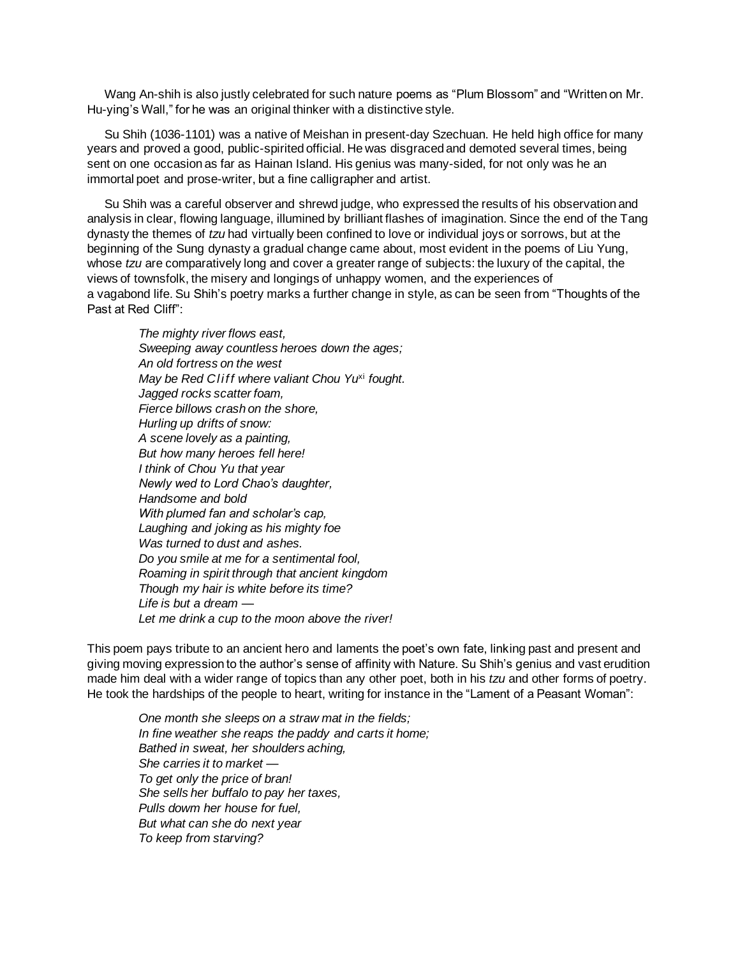Wang An-shih is also justly celebrated for such nature poems as "Plum Blossom" and "Written on Mr. Hu-ying's Wall," for he was an original thinker with a distinctive style.

Su Shih (1036-1101) was a native of Meishan in present-day Szechuan. He held high office for many years and proved a good, public-spirited official. He was disgraced and demoted several times, being sent on one occasion as far as Hainan Island. His genius was many-sided, for not only was he an immortal poet and prose-writer, but a fine calligrapher and artist.

Su Shih was a careful observer and shrewd judge, who expressed the results of his observation and analysis in clear, flowing language, illumined by brilliant flashes of imagination. Since the end of the Tang dynasty the themes of *tzu* had virtually been confined to love or individual joys or sorrows, but at the beginning of the Sung dynasty a gradual change came about, most evident in the poems of Liu Yung, whose *tzu* are comparatively long and cover a greater range of subjects: the luxury of the capital, the views of townsfolk, the misery and longings of unhappy women, and the experiences of a vagabond life. Su Shih's poetry marks a further change in style, as can be seen from "Thoughts of the Past at Red Cliff":

*The mighty river flows east, Sweeping away countless heroes down the ages; An old fortress on the west May be Red Cliff where valiant Chou Yu*xi *fought. Jagged rocks scatter foam, Fierce billows crash on the shore, Hurling up drifts of snow: A scene lovely as a painting, But how many heroes fell here! I think of Chou Yu that year Newly wed to Lord Chao's daughter, Handsome and bold With plumed fan and scholar's cap, Laughing and joking as his mighty foe Was turned to dust and ashes. Do you smile at me for a sentimental fool, Roaming in spirit through that ancient kingdom Though my hair is white before its time? Life is but a dream — Let me drink a cup to the moon above the river!*

This poem pays tribute to an ancient hero and laments the poet's own fate, linking past and present and giving moving expression to the author's sense of affinity with Nature. Su Shih's genius and vast erudition made him deal with a wider range of topics than any other poet, both in his *tzu* and other forms of poetry. He took the hardships of the people to heart, writing for instance in the "Lament of a Peasant Woman":

*One month she sleeps on a straw mat in the fields; In fine weather she reaps the paddy and carts it home; Bathed in sweat, her shoulders aching, She carries it to market — To get only the price of bran! She sells her buffalo to pay her taxes, Pulls dowm her house for fuel, But what can she do next year To keep from starving?*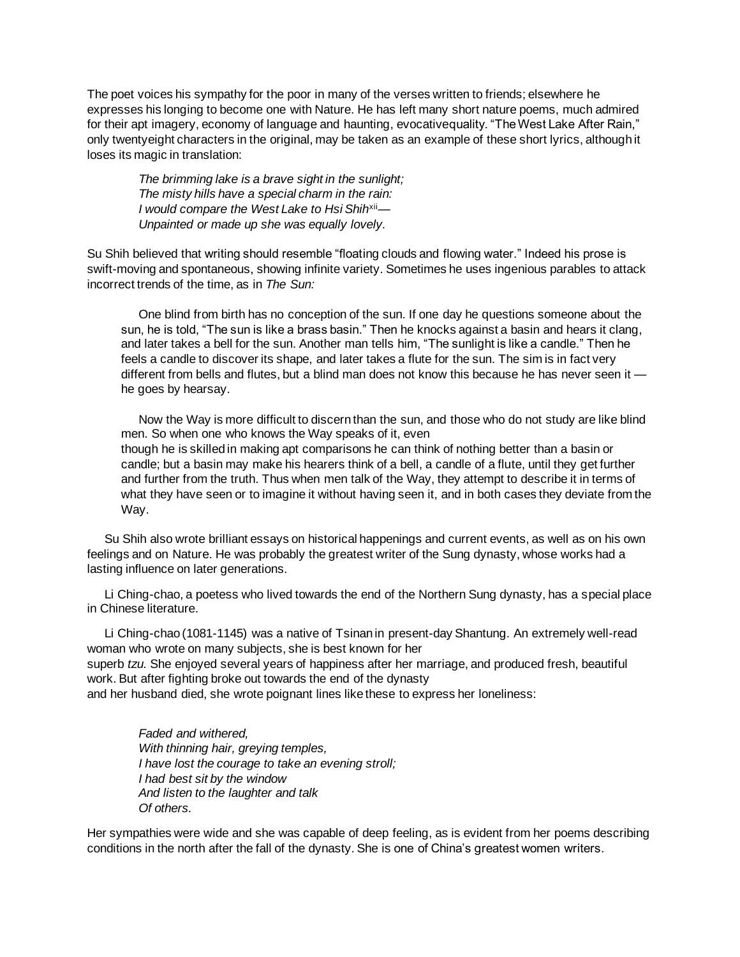The poet voices his sympathy for the poor in many of the verses written to friends; elsewhere he expresses his longing to become one with Nature. He has left many short nature poems, much admired for their apt imagery, economy of language and haunting, evocativequality. "The West Lake After Rain," only twentyeight characters in the original, may be taken as an example of these short lyrics, although it loses its magic in translation:

*The brimming lake is a brave sight in the sunlight; The misty hills have a special charm in the rain: I would compare the West Lake to Hsi Shih*xii*— Unpainted or made up she was equally lovely.*

Su Shih believed that writing should resemble "floating clouds and flowing water." Indeed his prose is swift-moving and spontaneous, showing infinite variety. Sometimes he uses ingenious parables to attack incorrect trends of the time, as in *The Sun:*

One blind from birth has no conception of the sun. If one day he questions someone about the sun, he is told, "The sun is like a brass basin." Then he knocks against a basin and hears it clang, and later takes a bell for the sun. Another man tells him, "The sunlight is like a candle." Then he feels a candle to discover its shape, and later takes a flute for the sun. The sim is in fact very different from bells and flutes, but a blind man does not know this because he has never seen it he goes by hearsay.

Now the Way is more difficult to discern than the sun, and those who do not study are like blind men. So when one who knows the Way speaks of it, even though he is skilled in making apt comparisons he can think of nothing better than a basin or candle; but a basin may make his hearers think of a bell, a candle of a flute, until they get further and further from the truth. Thus when men talk of the Way, they attempt to describe it in terms of what they have seen or to imagine it without having seen it, and in both cases they deviate from the Way.

Su Shih also wrote brilliant essays on historical happenings and current events, as well as on his own feelings and on Nature. He was probably the greatest writer of the Sung dynasty, whose works had a lasting influence on later generations.

Li Ching-chao, a poetess who lived towards the end of the Northern Sung dynasty, has a special place in Chinese literature.

Li Ching-chao (1081-1145) was a native of Tsinan in present-day Shantung. An extremely well-read woman who wrote on many subjects, she is best known for her

superb *tzu.* She enjoyed several years of happiness after her marriage, and produced fresh, beautiful work. But after fighting broke out towards the end of the dynasty

and her husband died, she wrote poignant lines like these to express her loneliness:

*Faded and withered, With thinning hair, greying temples, I have lost the courage to take an evening stroll; I had best sit by the window And listen to the laughter and talk Of others.*

Her sympathies were wide and she was capable of deep feeling, as is evident from her poems describing conditions in the north after the fall of the dynasty. She is one of China's greatest women writers.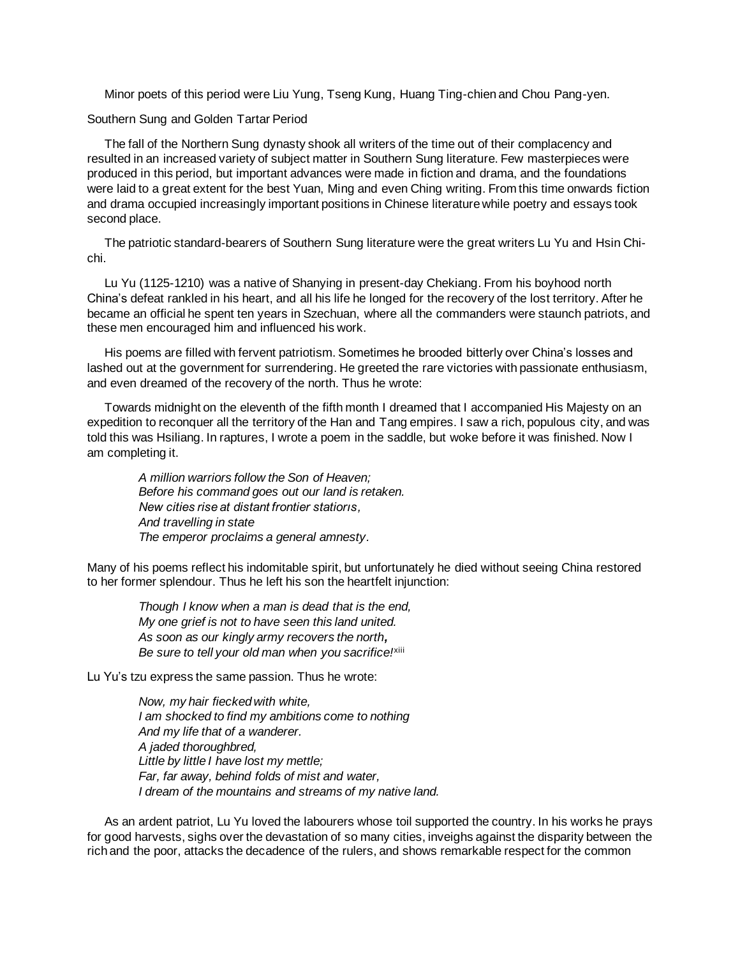Minor poets of this period were Liu Yung, Tseng Kung, Huang Ting-chien and Chou Pang-yen.

Southern Sung and Golden Tartar Period

The fall of the Northern Sung dynasty shook all writers of the time out of their complacency and resulted in an increased variety of subject matter in Southern Sung literature. Few masterpieces were produced in this period, but important advances were made in fiction and drama, and the foundations were laid to a great extent for the best Yuan, Ming and even Ching writing. From this time onwards fiction and drama occupied increasingly important positions in Chinese literature while poetry and essays took second place.

The patriotic standard-bearers of Southern Sung literature were the great writers Lu Yu and Hsin Chichi.

Lu Yu (1125-1210) was a native of Shanying in present-day Chekiang. From his boyhood north China's defeat rankled in his heart, and all his life he longed for the recovery of the lost territory. After he became an official he spent ten years in Szechuan, where all the commanders were staunch patriots, and these men encouraged him and influenced his work.

His poems are filled with fervent patriotism. Sometimes he brooded bitterly over China's losses and lashed out at the government for surrendering. He greeted the rare victories with passionate enthusiasm, and even dreamed of the recovery of the north. Thus he wrote:

Towards midnight on the eleventh of the fifth month I dreamed that I accompanied His Majesty on an expedition to reconquer all the territory of the Han and Tang empires. I saw a rich, populous city, and was told this was Hsiliang. In raptures, I wrote a poem in the saddle, but woke before it was finished. Now I am completing it.

*A million warriors follow the Son of Heaven; Before his command goes out our land is retaken. New cities rise at distant frontier statiorıs, And travelling in state The emperor proclaims a general amnesty.*

Many of his poems reflect his indomitable spirit, but unfortunately he died without seeing China restored to her former splendour. Thus he left his son the heartfelt injunction:

*Though I know when a man is dead that is the end, My one grief is not to have seen this land united. As soon as our kingly army recovers the north, Be sure to tell your old man when you sacrifice!*xiii

Lu Yu's tzu express the same passion. Thus he wrote:

*Now, my hair fiecked with white, I am shocked to find my ambitions come to nothing And my life that of a wanderer. A jaded thoroughbred, Little by little I have lost my mettle; Far, far away, behind folds of mist and water, I dream of the mountains and streams of my native land.*

As an ardent patriot, Lu Yu loved the labourers whose toil supported the country. In his works he prays for good harvests, sighs over the devastation of so many cities, inveighs against the disparity between the rich and the poor, attacks the decadence of the rulers, and shows remarkable respect for the common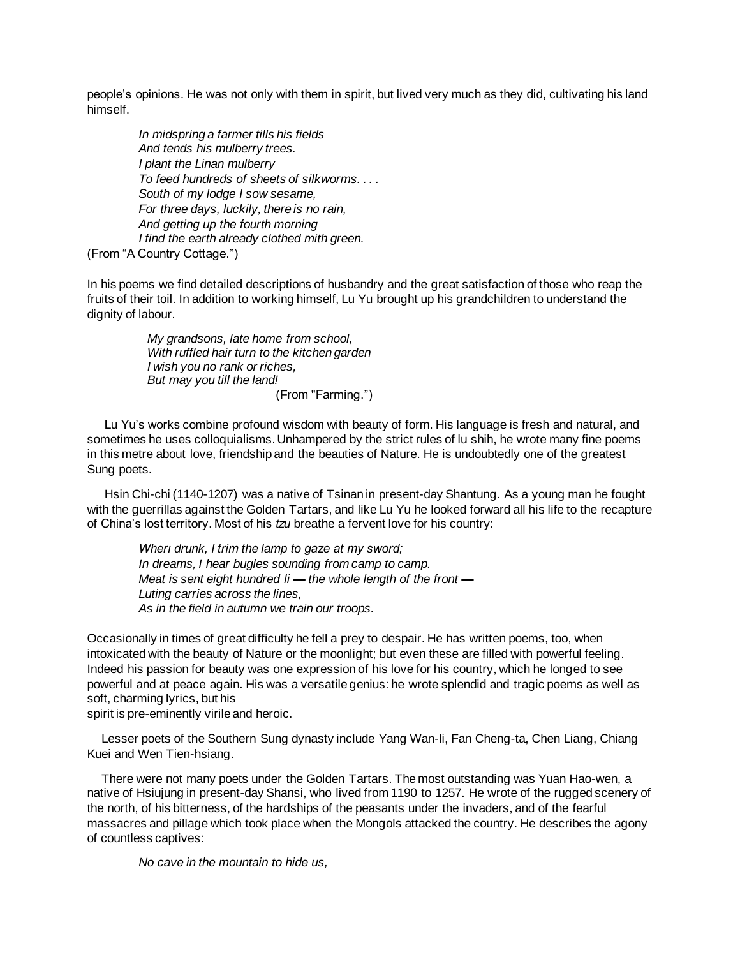people's opinions. He was not only with them in spirit, but lived very much as they did, cultivating his land himself.

*In midspring a farmer tills his fields And tends his mulberry trees. I plant the Linan mulberry To feed hundreds of sheets of silkworms. . . . South of my lodge I sow sesame, For three days, luckily, there is no rain, And getting up the fourth morning I find the earth already clothed mith green.* (From "A Country Cottage.")

In his poems we find detailed descriptions of husbandry and the great satisfaction of those who reap the fruits of their toil. In addition to working himself, Lu Yu brought up his grandchildren to understand the dignity of labour.

> *My grandsons, late home from school, With ruffled hair turn to the kitchen garden I wish you no rank or riches, But may you till the land!* (From "Farming.")

Lu Yu's works combine profound wisdom with beauty of form. His language is fresh and natural, and sometimes he uses colloquialisms. Unhampered by the strict rules of lu shih, he wrote many fine poems in this metre about love, friendship and the beauties of Nature. He is undoubtedly one of the greatest Sung poets.

Hsin Chi-chi (1140-1207) was a native of Tsinan in present-day Shantung. As a young man he fought with the guerrillas against the Golden Tartars, and like Lu Yu he looked forward all his life to the recapture of China's lost territory. Most of his *tzu* breathe a fervent love for his country:

*Wherı drunk, I trim the lamp to gaze at my sword; In dreams, I hear bugles sounding from camp to camp. Meat is sent eight hundred li — the whole length of the front — Luting carries across the lines, As in the field in autumn we train our troops.*

Occasionally in times of great difficulty he fell a prey to despair. He has written poems, too, when intoxicated with the beauty of Nature or the moonlight; but even these are filled with powerful feeling. Indeed his passion for beauty was one expression of his love for his country, which he longed to see powerful and at peace again. His was a versatile genius: he wrote splendid and tragic poems as well as soft, charming lyrics, but his

spirit is pre-eminently virile and heroic.

Lesser poets of the Southern Sung dynasty include Yang Wan-li, Fan Cheng-ta, Chen Liang, Chiang Kuei and Wen Tien-hsiang.

There were not many poets under the Golden Tartars. The most outstanding was Yuan Hao-wen, a native of Hsiujung in present-day Shansi, who lived from 1190 to 1257. He wrote of the rugged scenery of the north, of his bitterness, of the hardships of the peasants under the invaders, and of the fearful massacres and pillage which took place when the Mongols attacked the country. He describes the agony of countless captives:

*No cave in the mountain to hide us,*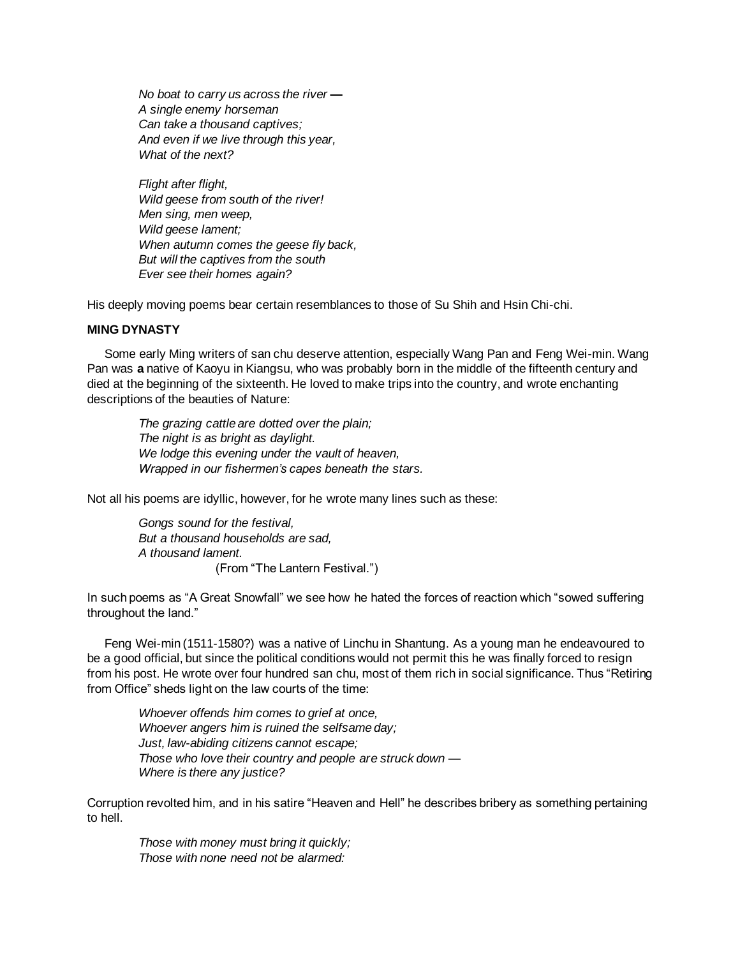*No boat to carry us across the river — A single enemy horseman Can take a thousand captives; And even if we live through this year, What of the next?*

*Flight after flight, Wild geese from south of the river! Men sing, men weep, Wild geese lament; When autumn comes the geese fly back, But will the captives from the south Ever see their homes again?*

His deeply moving poems bear certain resemblances to those of Su Shih and Hsin Chi-chi.

## **MING DYNASTY**

Some early Ming writers of san chu deserve attention, especially Wang Pan and Feng Wei-min. Wang Pan was **a** native of Kaoyu in Kiangsu, who was probably born in the middle of the fifteenth century and died at the beginning of the sixteenth. He loved to make trips into the country, and wrote enchanting descriptions of the beauties of Nature:

*The grazing cattle are dotted over the plain; The night is as bright as daylight. We lodge this evening under the vault of heaven, Wrapped in our fishermen's capes beneath the stars.*

Not all his poems are idyllic, however, for he wrote many lines such as these:

*Gongs sound for the festival, But a thousand households are sad, A thousand lament.* (From "The Lantern Festival.")

In such poems as "A Great Snowfall" we see how he hated the forces of reaction which "sowed suffering throughout the land."

Feng Wei-min (1511-1580?) was a native of Linchu in Shantung. As a young man he endeavoured to be a good official, but since the political conditions would not permit this he was finally forced to resign from his post. He wrote over four hundred san chu, most of them rich in social significance. Thus "Retiring from Office" sheds light on the law courts of the time:

*Whoever offends him comes to grief at once, Whoever angers him is ruined the selfsame day; Just, law-abiding citizens cannot escape; Those who love their country and people are struck down* — *Where is there any justice?*

Corruption revolted him, and in his satire "Heaven and Hell" he describes bribery as something pertaining to hell.

*Those with money must bring it quickly; Those with none need not be alarmed:*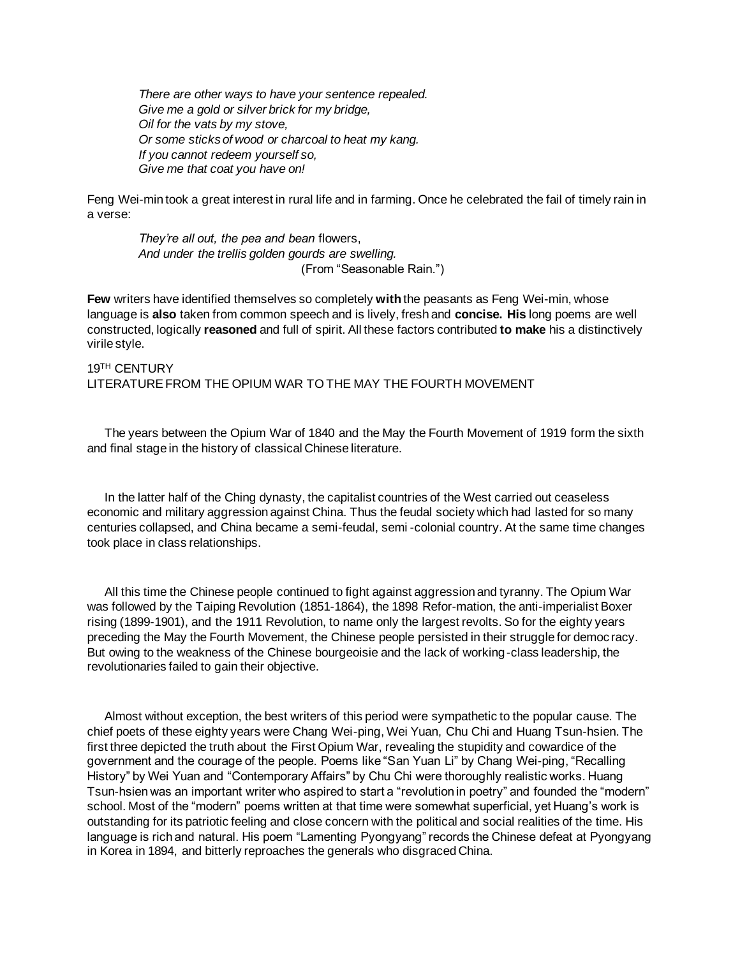*There are other ways to have your sentence repealed. Give me a gold or silver brick for my bridge, Oil for the vats by my stove, Or some sticks of wood or charcoal to heat my kang. If you cannot redeem yourself so, Give me that coat you have on!*

Feng Wei-min took a great interest in rural life and in farming. Once he celebrated the fail of timely rain in a verse:

*They're all out, the pea and bean* flowers, *And under the trellis golden gourds are swelling.* (From "Seasonable Rain.")

**Few** writers have identified themselves so completely **with** the peasants as Feng Wei-min, whose language is **also** taken from common speech and is lively, fresh and **concise. His** long poems are well constructed, logically **reasoned** and full of spirit. All these factors contributed **to make** his a distinctively virile style.

# 19TH CENTURY LITERATURE FROM THE OPIUM WAR TO THE MAY THE FOURTH MOVEMENT

The years between the Opium War of 1840 and the May the Fourth Movement of 1919 form the sixth and final stage in the history of classical Chinese literature.

In the latter half of the Ching dynasty, the capitalist countries of the West carried out ceaseless economic and military aggression against China. Thus the feudal society which had lasted for so many centuries collapsed, and China became a semi-feudal, semi -colonial country. At the same time changes took place in class relationships.

All this time the Chinese people continued to fight against aggression and tyranny. The Opium War was followed by the Taiping Revolution (1851-1864), the 1898 Refor-mation, the anti-imperialist Boxer rising (1899-1901), and the 1911 Revolution, to name only the largest revolts. So for the eighty years preceding the May the Fourth Movement, the Chinese people persisted in their struggle for democ racy. But owing to the weakness of the Chinese bourgeoisie and the lack of working-class leadership, the revolutionaries failed to gain their objective.

Almost without exception, the best writers of this period were sympathetic to the popular cause. The chief poets of these eighty years were Chang Wei-ping, Wei Yuan, Chu Chi and Huang Tsun-hsien. The first three depicted the truth about the First Opium War, revealing the stupidity and cowardice of the government and the courage of the people. Poems like "San Yuan Li" by Chang Wei-ping, "Recalling History" by Wei Yuan and "Contemporary Affairs" by Chu Chi were thoroughly realistic works. Huang Tsun-hsien was an important writer who aspired to start a "revolution in poetry" and founded the "modern" school. Most of the "modern" poems written at that time were somewhat superficial, yet Huang's work is outstanding for its patriotic feeling and close concern with the political and social realities of the time. His language is rich and natural. His poem "Lamenting Pyongyang" records the Chinese defeat at Pyongyang in Korea in 1894, and bitterly reproaches the generals who disgraced China.